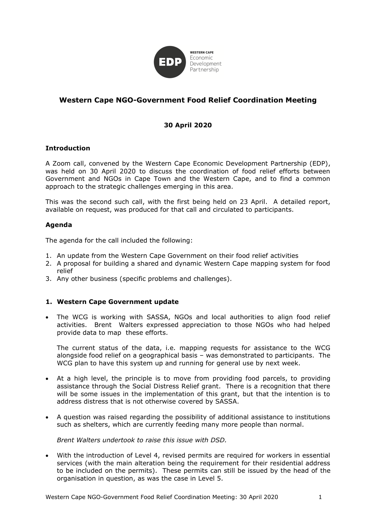

# **Western Cape NGO-Government Food Relief Coordination Meeting**

## **30 April 2020**

#### **Introduction**

A Zoom call, convened by the Western Cape Economic Development Partnership (EDP), was held on 30 April 2020 to discuss the coordination of food relief efforts between Government and NGOs in Cape Town and the Western Cape, and to find a common approach to the strategic challenges emerging in this area.

This was the second such call, with the first being held on 23 April. A detailed report, available on request, was produced for that call and circulated to participants.

#### **Agenda**

The agenda for the call included the following:

- 1. An update from the Western Cape Government on their food relief activities
- 2. A proposal for building a shared and dynamic Western Cape mapping system for food relief
- 3. Any other business (specific problems and challenges).

#### **1. Western Cape Government update**

• The WCG is working with SASSA, NGOs and local authorities to align food relief activities. Brent Walters expressed appreciation to those NGOs who had helped provide data to map these efforts.

The current status of the data, i.e. mapping requests for assistance to the WCG alongside food relief on a geographical basis – was demonstrated to participants. The WCG plan to have this system up and running for general use by next week.

- At a high level, the principle is to move from providing food parcels, to providing assistance through the Social Distress Relief grant. There is a recognition that there will be some issues in the implementation of this grant, but that the intention is to address distress that is not otherwise covered by SASSA.
- A question was raised regarding the possibility of additional assistance to institutions such as shelters, which are currently feeding many more people than normal.

#### *Brent Walters undertook to raise this issue with DSD.*

• With the introduction of Level 4, revised permits are required for workers in essential services (with the main alteration being the requirement for their residential address to be included on the permits). These permits can still be issued by the head of the organisation in question, as was the case in Level 5.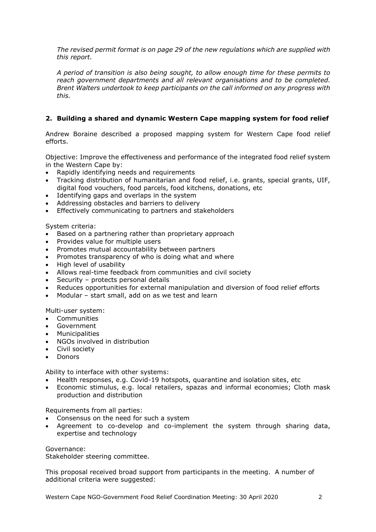*The revised permit format is on page 29 of the new regulations which are supplied with this report.*

*A period of transition is also being sought, to allow enough time for these permits to reach government departments and all relevant organisations and to be completed. Brent Walters undertook to keep participants on the call informed on any progress with this.*

## **2. Building a shared and dynamic Western Cape mapping system for food relief**

Andrew Boraine described a proposed mapping system for Western Cape food relief efforts.

Objective: Improve the effectiveness and performance of the integrated food relief system in the Western Cape by:

- Rapidly identifying needs and requirements
- Tracking distribution of humanitarian and food relief, i.e. grants, special grants, UIF, digital food vouchers, food parcels, food kitchens, donations, etc
- Identifying gaps and overlaps in the system
- Addressing obstacles and barriers to delivery
- Effectively communicating to partners and stakeholders

System criteria:

- Based on a partnering rather than proprietary approach
- Provides value for multiple users
- Promotes mutual accountability between partners
- Promotes transparency of who is doing what and where
- High level of usability
- Allows real-time feedback from communities and civil society
- Security protects personal details
- Reduces opportunities for external manipulation and diversion of food relief efforts
- Modular start small, add on as we test and learn

Multi-user system:

- Communities
- Government
- **Municipalities**
- NGOs involved in distribution
- Civil society
- Donors

Ability to interface with other systems:

- Health responses, e.g. Covid-19 hotspots, quarantine and isolation sites, etc
- Economic stimulus, e.g. local retailers, spazas and informal economies; Cloth mask production and distribution

Requirements from all parties:

- Consensus on the need for such a system
- Agreement to co-develop and co-implement the system through sharing data, expertise and technology

Governance:

Stakeholder steering committee.

This proposal received broad support from participants in the meeting. A number of additional criteria were suggested:

Western Cape NGO-Government Food Relief Coordination Meeting: 30 April 2020 2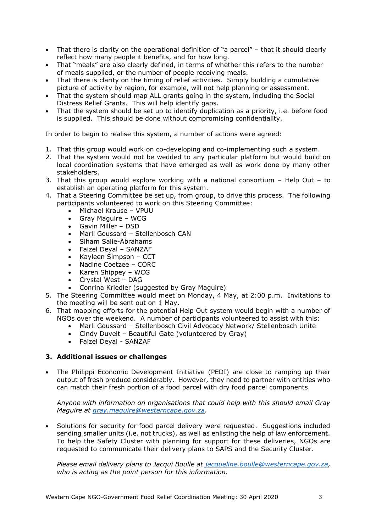- That there is clarity on the operational definition of "a parcel" that it should clearly reflect how many people it benefits, and for how long.
- That "meals" are also clearly defined, in terms of whether this refers to the number of meals supplied, or the number of people receiving meals.
- That there is clarity on the timing of relief activities. Simply building a cumulative picture of activity by region, for example, will not help planning or assessment.
- That the system should map ALL grants going in the system, including the Social Distress Relief Grants. This will help identify gaps.
- That the system should be set up to identify duplication as a priority, i.e. before food is supplied. This should be done without compromising confidentiality.

In order to begin to realise this system, a number of actions were agreed:

- 1. That this group would work on co-developing and co-implementing such a system.
- 2. That the system would not be wedded to any particular platform but would build on local coordination systems that have emerged as well as work done by many other stakeholders.
- 3. That this group would explore working with a national consortium Help Out to establish an operating platform for this system.
- 4. That a Steering Committee be set up, from group, to drive this process. The following participants volunteered to work on this Steering Committee:
	- Michael Krause VPUU
	- Gray Maguire WCG<br>• Gavin Miller DSD
	- Gavin Miller DSD
	- Marli Goussard Stellenbosch CAN
	- Siham Salie-Abrahams
	- Faizel Deyal SANZAF
	- Kayleen Simpson CCT
	- Nadine Coetzee CORC<br>• Karen Shippey WCG
	- Karen Shippey WCG
	- Crystal West DAG
	- Conrina Kriedler (suggested by Gray Maguire)
- 5. The Steering Committee would meet on Monday, 4 May, at 2:00 p.m. Invitations to the meeting will be sent out on 1 May.
- 6. That mapping efforts for the potential Help Out system would begin with a number of NGOs over the weekend. A number of participants volunteered to assist with this:
	- Marli Goussard Stellenbosch Civil Advocacy Network/ Stellenbosch Unite
	- Cindy Duvelt Beautiful Gate (volunteered by Gray)
	- Faizel Deyal SANZAF

### **3. Additional issues or challenges**

• The Philippi Economic Development Initiative (PEDI) are close to ramping up their output of fresh produce considerably. However, they need to partner with entities who can match their fresh portion of a food parcel with dry food parcel components.

*Anyone with information on organisations that could help with this should email Gray Maguire at [gray.maguire@westerncape.gov.za.](mailto:gray.maguire@westerncape.gov.za)*

• Solutions for security for food parcel delivery were requested. Suggestions included sending smaller units (i.e. not trucks), as well as enlisting the help of law enforcement. To help the Safety Cluster with planning for support for these deliveries, NGOs are requested to communicate their delivery plans to SAPS and the Security Cluster.

*Please email delivery plans to Jacqui Boulle at [jacqueline.boulle@westerncape.gov.za,](mailto:jacqueline.boulle@westerncape.gov.za) who is acting as the point person for this information.*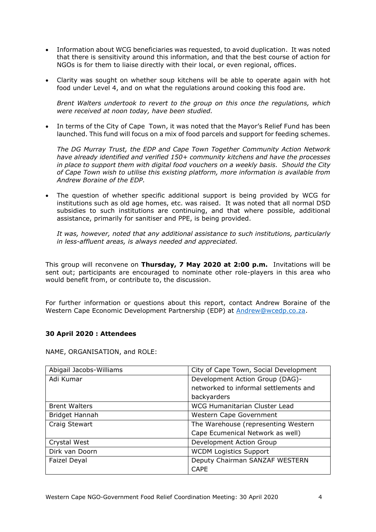- Information about WCG beneficiaries was requested, to avoid duplication. It was noted that there is sensitivity around this information, and that the best course of action for NGOs is for them to liaise directly with their local, or even regional, offices.
- Clarity was sought on whether soup kitchens will be able to operate again with hot food under Level 4, and on what the regulations around cooking this food are.

*Brent Walters undertook to revert to the group on this once the regulations, which were received at noon today, have been studied.*

In terms of the City of Cape Town, it was noted that the Mayor's Relief Fund has been launched. This fund will focus on a mix of food parcels and support for feeding schemes.

*The DG Murray Trust, the EDP and Cape Town Together Community Action Network have already identified and verified 150+ community kitchens and have the processes in place to support them with digital food vouchers on a weekly basis. Should the City of Cape Town wish to utilise this existing platform, more information is available from Andrew Boraine of the EDP.*

• The question of whether specific additional support is being provided by WCG for institutions such as old age homes, etc. was raised. It was noted that all normal DSD subsidies to such institutions are continuing, and that where possible, additional assistance, primarily for sanitiser and PPE, is being provided.

*It was, however, noted that any additional assistance to such institutions, particularly in less-affluent areas, is always needed and appreciated.*

This group will reconvene on **Thursday, 7 May 2020 at 2:00 p.m.** Invitations will be sent out; participants are encouraged to nominate other role-players in this area who would benefit from, or contribute to, the discussion.

For further information or questions about this report, contact Andrew Boraine of the Western Cape Economic Development Partnership (EDP) at [Andrew@wcedp.co.za.](mailto:Andrew@wcedp.co.za)

#### **30 April 2020 : Attendees**

NAME, ORGANISATION, and ROLE:

| Abigail Jacobs-Williams | City of Cape Town, Social Development |
|-------------------------|---------------------------------------|
| Adi Kumar               | Development Action Group (DAG)-       |
|                         | networked to informal settlements and |
|                         | backyarders                           |
| <b>Brent Walters</b>    | WCG Humanitarian Cluster Lead         |
| Bridget Hannah          | Western Cape Government               |
| Craig Stewart           | The Warehouse (representing Western   |
|                         | Cape Ecumenical Network as well)      |
| Crystal West            | Development Action Group              |
| Dirk van Doorn          | <b>WCDM Logistics Support</b>         |
| Faizel Deyal            | Deputy Chairman SANZAF WESTERN        |
|                         | <b>CAPE</b>                           |